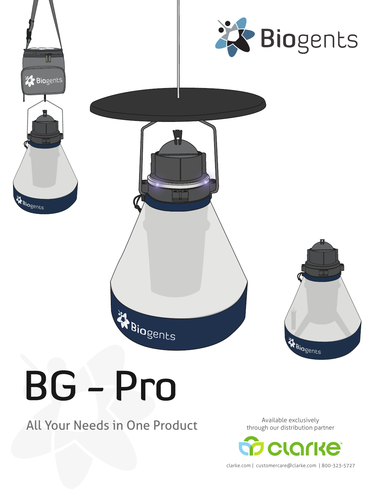

# **BG** Pro

### All Your Needs in One Product<br>
All Your Needs in One Product through our distribution particle and the Available exclusively

through our distribution partner



clarke.com | customercare@clarke.com | 800-323-5727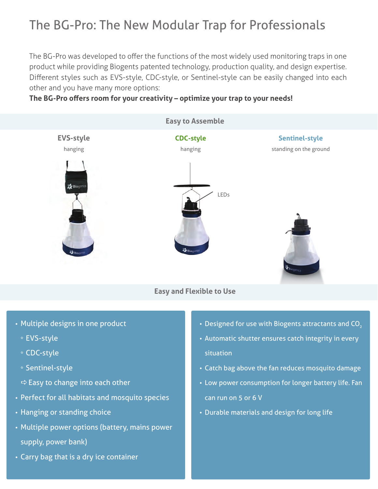## The BG-Pro: The New Modular Trap for Professionals

The BG-Pro was developed to offer the functions of the most widely used monitoring traps in one product while providing Biogents patented technology, production quality, and design expertise. Different styles such as EVS-style, CDC-style, or Sentinel-style can be easily changed into each other and you have many more options:

#### **The BG-Pro offers room for your creativity – optimize your trap to your needs!**



- **•** Multiple designs in one product
	- **\*** EVS-style
	- **\*** CDC-style
	- **\*** Sentinel-style
	- a Easy to change into each other
- **•** Perfect for all habitats and mosquito species
- **•** Hanging or standing choice
- **•** Multiple power options (battery, mains power supply, power bank)
- **•** Carry bag that is a dry ice container
- Designed for use with Biogents attractants and CO<sub>2</sub>
- **•** Automatic shutter ensures catch integrity in every situation
- **•** Catch bag above the fan reduces mosquito damage
- **•** Low power consumption for longer battery life. Fan can run on 5 or 6 V
- **•** Durable materials and design for long life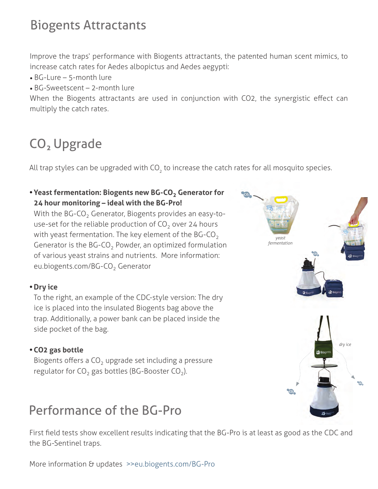### Biogents Attractants

Improve the traps' performance with Biogents attractants, the patented human scent mimics, to increase catch rates for Aedes albopictus and Aedes aegypti:

- BG-Lure 5-month lure
- BG-Sweetscent 2-month lure

When the Biogents attractants are used in conjunction with CO2, the synergistic effect can multiply the catch rates.

# CO<sub>2</sub> Upgrade

All trap styles can be upgraded with CO<sub>2</sub> to increase the catch rates for all mosquito species.

**•Yeast fermentation: Biogents new BG-CO2 Generator for 24 hour monitoring – ideal with the BG-Pro!**  With the BG-CO<sub>2</sub> Generator, Biogents provides an easy-touse-set for the reliable production of  $CO<sub>2</sub>$  over 24 hours with yeast fermentation. The key element of the BG-CO<sub>2</sub> Generator is the  $BG$ - $CO<sub>2</sub>$  Powder, an optimized formulation of various yeast strains and nutrients. More information: eu.biogents.com/BG-CO<sub>2</sub> Generator

#### **• Dry ice**

To the right, an example of the CDC-style version: The dry ice is placed into the insulated Biogents bag above the trap. Additionally, a power bank can be placed inside the side pocket of the bag.

#### **•CO2 gas bottle**

Biogents offers a  $CO<sub>2</sub>$  upgrade set including a pressure regulator for  $CO<sub>2</sub>$  gas bottles (BG-Booster  $CO<sub>2</sub>$ ).

### Performance of the BG-Pro

First field tests show excellent results indicating that the BG-Pro is at least as good as the CDC and the BG-Sentinel traps.